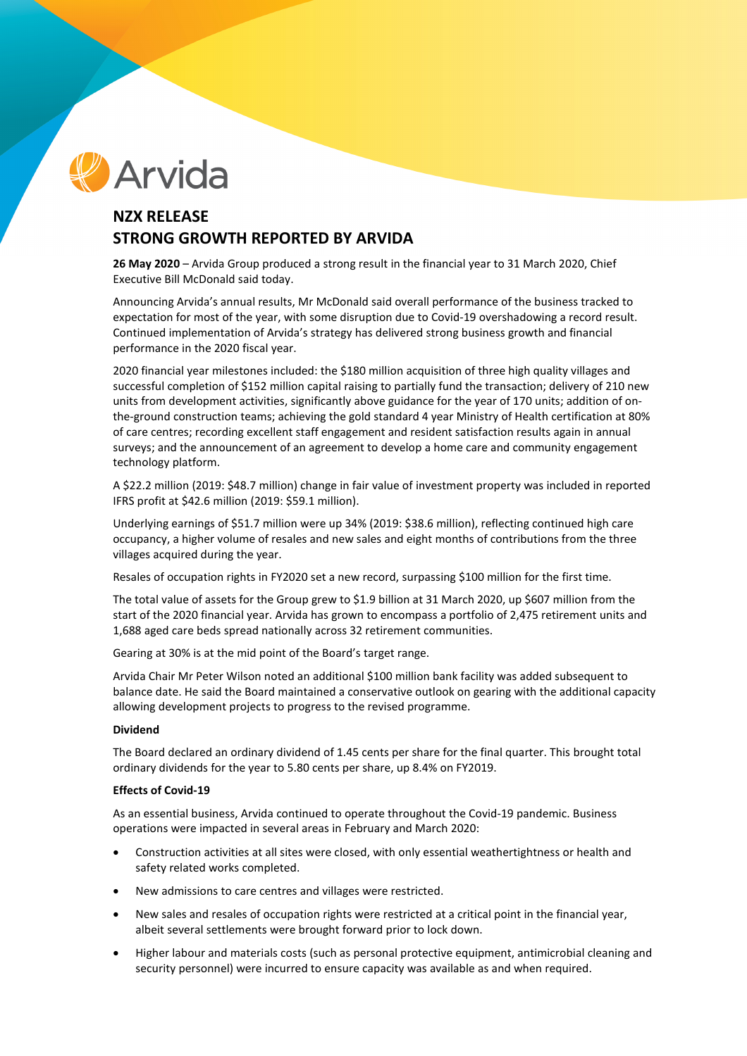# Arvida

# **NZX RELEASE STRONG GROWTH REPORTED BY ARVIDA**

**26 May 2020** – Arvida Group produced a strong result in the financial year to 31 March 2020, Chief Executive Bill McDonald said today.

Announcing Arvida's annual results, Mr McDonald said overall performance of the business tracked to expectation for most of the year, with some disruption due to Covid-19 overshadowing a record result. Continued implementation of Arvida's strategy has delivered strong business growth and financial performance in the 2020 fiscal year.

2020 financial year milestones included: the \$180 million acquisition of three high quality villages and successful completion of \$152 million capital raising to partially fund the transaction; delivery of 210 new units from development activities, significantly above guidance for the year of 170 units; addition of onthe-ground construction teams; achieving the gold standard 4 year Ministry of Health certification at 80% of care centres; recording excellent staff engagement and resident satisfaction results again in annual surveys; and the announcement of an agreement to develop a home care and community engagement technology platform.

A \$22.2 million (2019: \$48.7 million) change in fair value of investment property was included in reported IFRS profit at \$42.6 million (2019: \$59.1 million).

Underlying earnings of \$51.7 million were up 34% (2019: \$38.6 million), reflecting continued high care occupancy, a higher volume of resales and new sales and eight months of contributions from the three villages acquired during the year.

Resales of occupation rights in FY2020 set a new record, surpassing \$100 million for the first time.

The total value of assets for the Group grew to \$1.9 billion at 31 March 2020, up \$607 million from the start of the 2020 financial year. Arvida has grown to encompass a portfolio of 2,475 retirement units and 1,688 aged care beds spread nationally across 32 retirement communities.

Gearing at 30% is at the mid point of the Board's target range.

Arvida Chair Mr Peter Wilson noted an additional \$100 million bank facility was added subsequent to balance date. He said the Board maintained a conservative outlook on gearing with the additional capacity allowing development projects to progress to the revised programme.

## **Dividend**

The Board declared an ordinary dividend of 1.45 cents per share for the final quarter. This brought total ordinary dividends for the year to 5.80 cents per share, up 8.4% on FY2019.

## **Effects of Covid-19**

As an essential business, Arvida continued to operate throughout the Covid-19 pandemic. Business operations were impacted in several areas in February and March 2020:

- Construction activities at all sites were closed, with only essential weathertightness or health and safety related works completed.
- New admissions to care centres and villages were restricted.
- New sales and resales of occupation rights were restricted at a critical point in the financial year, albeit several settlements were brought forward prior to lock down.
- Higher labour and materials costs (such as personal protective equipment, antimicrobial cleaning and security personnel) were incurred to ensure capacity was available as and when required.